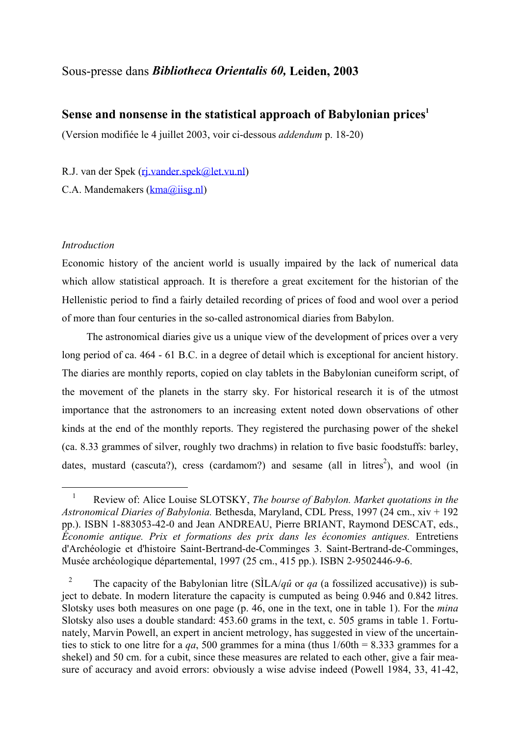# <span id="page-0-1"></span>Sous-presse dans *Bibliotheca Orientalis 60,* **Leiden, 2003**

# **Sense and nonsense in the statistical approach of Babylonian prices<sup>1</sup>**

(Version modifiée le 4 juillet 2003, voir ci-dessous *addendum* p. 18-20)

R.J. van der Spek (ri.vander.spek@let.vu.nl)

C.A. Mandemakers [\(kma@iisg.nl\)](mailto:kma@iisg.nl)

## *Introduction*

i<br>Li

Economic history of the ancient world is usually impaired by the lack of numerical data which allow statistical approach. It is therefore a great excitement for the historian of the Hellenistic period to find a fairly detailed recording of prices of food and wool over a period of more than four centuries in the so-called astronomical diaries from Babylon.

 The astronomical diaries give us a unique view of the development of prices over a very long period of ca. 464 - 61 B.C. in a degree of detail which is exceptional for ancient history. The diaries are monthly reports, copied on clay tablets in the Babylonian cuneiform script, of the movement of the planets in the starry sky. For historical research it is of the utmost importance that the astronomers to an increasing extent noted down observations of other kinds at the end of the monthly reports. They registered the purchasing power of the shekel (ca. 8.33 grammes of silver, roughly two drachms) in relation to five basic foodstuffs: barley, dates, mustard (cascuta?), cress (cardamom?) and sesame (all in litres<sup>[2](#page-0-1)</sup>), and wool (in

<span id="page-0-0"></span><sup>1</sup> Review of: Alice Louise SLOTSKY, *The bourse of Babylon. Market quotations in the Astronomical Diaries of Babylonia.* Bethesda, Maryland, CDL Press, 1997 (24 cm., xiv + 192 pp.). ISBN 1-883053-42-0 and Jean ANDREAU, Pierre BRIANT, Raymond DESCAT, eds., *Économie antique. Prix et formations des prix dans les économies antiques.* Entretiens d'Archéologie et d'histoire Saint-Bertrand-de-Comminges 3. Saint-Bertrand-de-Comminges, Musée archéologique départemental, 1997 (25 cm., 415 pp.). ISBN 2-9502446-9-6.

The capacity of the Babylonian litre (SILA/*qû* or *qa* (a fossilized accusative)) is subject to debate. In modern literature the capacity is cumputed as being 0.946 and 0.842 litres. Slotsky uses both measures on one page (p. 46, one in the text, one in table 1). For the *mina* Slotsky also uses a double standard: 453.60 grams in the text, c. 505 grams in table 1. Fortunately, Marvin Powell, an expert in ancient metrology, has suggested in view of the uncertainties to stick to one litre for a *qa*, 500 grammes for a mina (thus  $1/60$ th = 8.333 grammes for a shekel) and 50 cm. for a cubit, since these measures are related to each other, give a fair measure of accuracy and avoid errors: obviously a wise advise indeed (Powell 1984, 33, 41-42,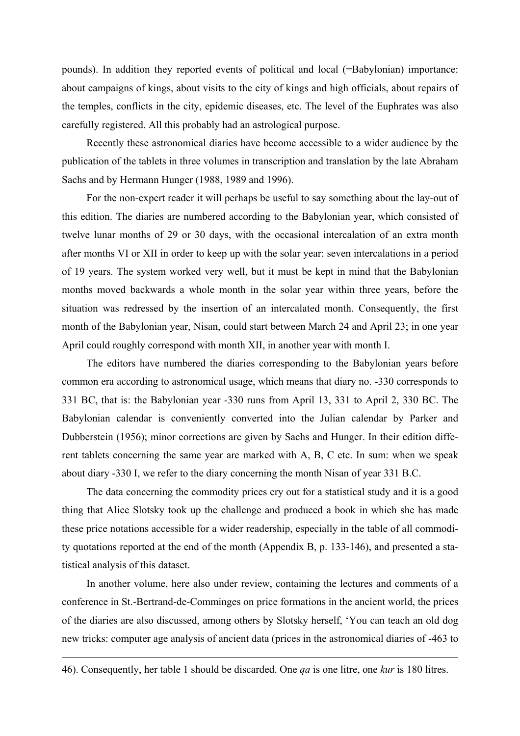pounds). In addition they reported events of political and local (=Babylonian) importance: about campaigns of kings, about visits to the city of kings and high officials, about repairs of the temples, conflicts in the city, epidemic diseases, etc. The level of the Euphrates was also carefully registered. All this probably had an astrological purpose.

 Recently these astronomical diaries have become accessible to a wider audience by the publication of the tablets in three volumes in transcription and translation by the late Abraham Sachs and by Hermann Hunger (1988, 1989 and 1996).

 For the non-expert reader it will perhaps be useful to say something about the lay-out of this edition. The diaries are numbered according to the Babylonian year, which consisted of twelve lunar months of 29 or 30 days, with the occasional intercalation of an extra month after months VI or XII in order to keep up with the solar year: seven intercalations in a period of 19 years. The system worked very well, but it must be kept in mind that the Babylonian months moved backwards a whole month in the solar year within three years, before the situation was redressed by the insertion of an intercalated month. Consequently, the first month of the Babylonian year, Nisan, could start between March 24 and April 23; in one year April could roughly correspond with month XII, in another year with month I.

 The editors have numbered the diaries corresponding to the Babylonian years before common era according to astronomical usage, which means that diary no. -330 corresponds to 331 BC, that is: the Babylonian year -330 runs from April 13, 331 to April 2, 330 BC. The Babylonian calendar is conveniently converted into the Julian calendar by Parker and Dubberstein (1956); minor corrections are given by Sachs and Hunger. In their edition different tablets concerning the same year are marked with A, B, C etc. In sum: when we speak about diary -330 I, we refer to the diary concerning the month Nisan of year 331 B.C.

 The data concerning the commodity prices cry out for a statistical study and it is a good thing that Alice Slotsky took up the challenge and produced a book in which she has made these price notations accessible for a wider readership, especially in the table of all commodity quotations reported at the end of the month (Appendix B, p. 133-146), and presented a statistical analysis of this dataset.

 In another volume, here also under review, containing the lectures and comments of a conference in St.-Bertrand-de-Comminges on price formations in the ancient world, the prices of the diaries are also discussed, among others by Slotsky herself, 'You can teach an old dog new tricks: computer age analysis of ancient data (prices in the astronomical diaries of -463 to

<sup>-</sup>

<sup>46).</sup> Consequently, her table 1 should be discarded. One *qa* is one litre, one *kur* is 180 litres.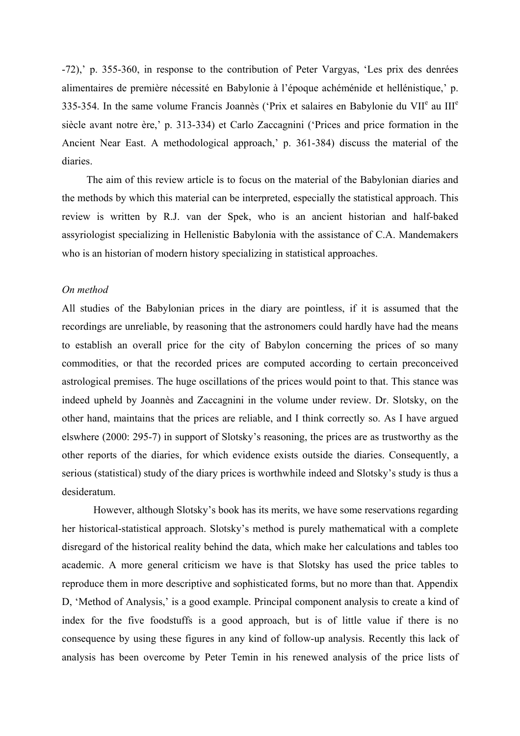-72),' p. 355-360, in response to the contribution of Peter Vargyas, 'Les prix des denrées alimentaires de première nécessité en Babylonie à l'époque achéménide et hellénistique,' p. 335-354. In the same volume Francis Joannès ('Prix et salaires en Babylonie du VII<sup>e</sup> au III<sup>e</sup> siècle avant notre ère,' p. 313-334) et Carlo Zaccagnini ('Prices and price formation in the Ancient Near East. A methodological approach,' p. 361-384) discuss the material of the diaries.

 The aim of this review article is to focus on the material of the Babylonian diaries and the methods by which this material can be interpreted, especially the statistical approach. This review is written by R.J. van der Spek, who is an ancient historian and half-baked assyriologist specializing in Hellenistic Babylonia with the assistance of C.A. Mandemakers who is an historian of modern history specializing in statistical approaches.

#### *On method*

All studies of the Babylonian prices in the diary are pointless, if it is assumed that the recordings are unreliable, by reasoning that the astronomers could hardly have had the means to establish an overall price for the city of Babylon concerning the prices of so many commodities, or that the recorded prices are computed according to certain preconceived astrological premises. The huge oscillations of the prices would point to that. This stance was indeed upheld by Joannès and Zaccagnini in the volume under review. Dr. Slotsky, on the other hand, maintains that the prices are reliable, and I think correctly so. As I have argued elswhere (2000: 295-7) in support of Slotsky's reasoning, the prices are as trustworthy as the other reports of the diaries, for which evidence exists outside the diaries. Consequently, a serious (statistical) study of the diary prices is worthwhile indeed and Slotsky's study is thus a desideratum.

 However, although Slotsky's book has its merits, we have some reservations regarding her historical-statistical approach. Slotsky's method is purely mathematical with a complete disregard of the historical reality behind the data, which make her calculations and tables too academic. A more general criticism we have is that Slotsky has used the price tables to reproduce them in more descriptive and sophisticated forms, but no more than that. Appendix D, 'Method of Analysis,' is a good example. Principal component analysis to create a kind of index for the five foodstuffs is a good approach, but is of little value if there is no consequence by using these figures in any kind of follow-up analysis. Recently this lack of analysis has been overcome by Peter Temin in his renewed analysis of the price lists of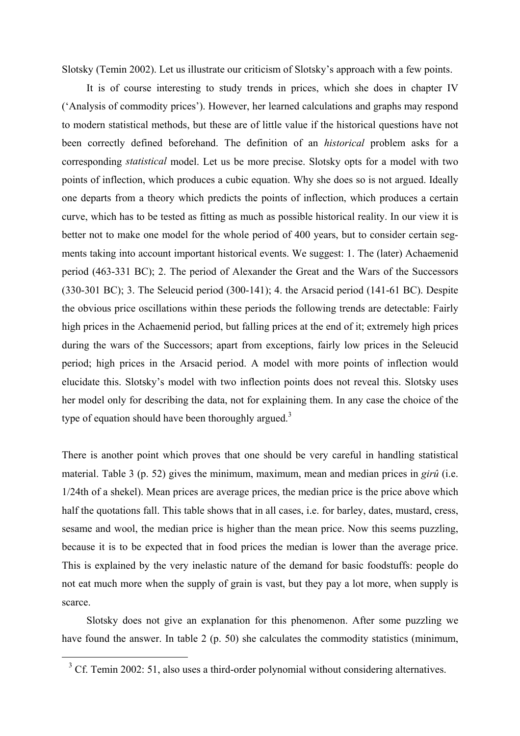Slotsky (Temin 2002). Let us illustrate our criticism of Slotsky's approach with a few points.

 It is of course interesting to study trends in prices, which she does in chapter IV ('Analysis of commodity prices'). However, her learned calculations and graphs may respond to modern statistical methods, but these are of little value if the historical questions have not been correctly defined beforehand. The definition of an *historical* problem asks for a corresponding *statistical* model. Let us be more precise. Slotsky opts for a model with two points of inflection, which produces a cubic equation. Why she does so is not argued. Ideally one departs from a theory which predicts the points of inflection, which produces a certain curve, which has to be tested as fitting as much as possible historical reality. In our view it is better not to make one model for the whole period of 400 years, but to consider certain segments taking into account important historical events. We suggest: 1. The (later) Achaemenid period (463-331 BC); 2. The period of Alexander the Great and the Wars of the Successors (330-301 BC); 3. The Seleucid period (300-141); 4. the Arsacid period (141-61 BC). Despite the obvious price oscillations within these periods the following trends are detectable: Fairly high prices in the Achaemenid period, but falling prices at the end of it; extremely high prices during the wars of the Successors; apart from exceptions, fairly low prices in the Seleucid period; high prices in the Arsacid period. A model with more points of inflection would elucidate this. Slotsky's model with two inflection points does not reveal this. Slotsky uses her model only for describing the data, not for explaining them. In any case the choice of the type of equation should have been thoroughly argued.<sup>[3](#page-3-0)</sup>

There is another point which proves that one should be very careful in handling statistical material. Table 3 (p. 52) gives the minimum, maximum, mean and median prices in *girû* (i.e. 1/24th of a shekel). Mean prices are average prices, the median price is the price above which half the quotations fall. This table shows that in all cases, i.e. for barley, dates, mustard, cress, sesame and wool, the median price is higher than the mean price. Now this seems puzzling, because it is to be expected that in food prices the median is lower than the average price. This is explained by the very inelastic nature of the demand for basic foodstuffs: people do not eat much more when the supply of grain is vast, but they pay a lot more, when supply is scarce.

 Slotsky does not give an explanation for this phenomenon. After some puzzling we have found the answer. In table 2 (p. 50) she calculates the commodity statistics (minimum,

i<br>Li

<span id="page-3-0"></span> $3$  Cf. Temin 2002: 51, also uses a third-order polynomial without considering alternatives.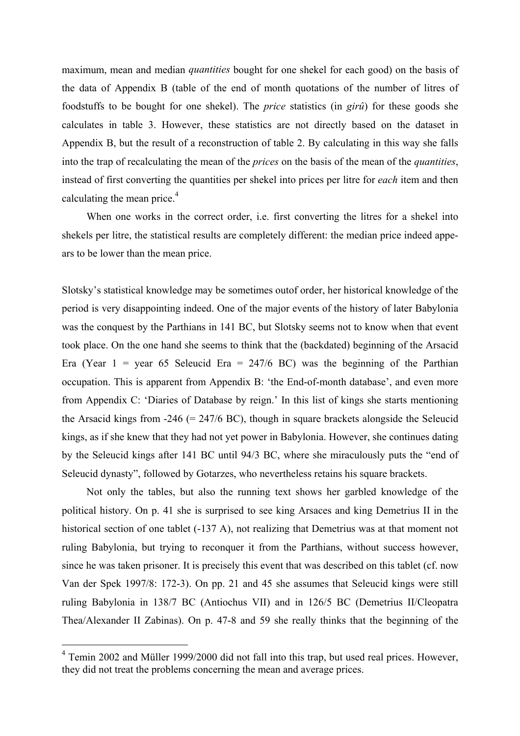maximum, mean and median *quantities* bought for one shekel for each good) on the basis of the data of Appendix B (table of the end of month quotations of the number of litres of foodstuffs to be bought for one shekel). The *price* statistics (in *girû*) for these goods she calculates in table 3. However, these statistics are not directly based on the dataset in Appendix B, but the result of a reconstruction of table 2. By calculating in this way she falls into the trap of recalculating the mean of the *prices* on the basis of the mean of the *quantities*, instead of first converting the quantities per shekel into prices per litre for *each* item and then calculating the mean price.<sup>[4](#page-4-0)</sup>

 When one works in the correct order, i.e. first converting the litres for a shekel into shekels per litre, the statistical results are completely different: the median price indeed appears to be lower than the mean price.

Slotsky's statistical knowledge may be sometimes outof order, her historical knowledge of the period is very disappointing indeed. One of the major events of the history of later Babylonia was the conquest by the Parthians in 141 BC, but Slotsky seems not to know when that event took place. On the one hand she seems to think that the (backdated) beginning of the Arsacid Era (Year  $1 = \text{year } 65$  Seleucid Era = 247/6 BC) was the beginning of the Parthian occupation. This is apparent from Appendix B: 'the End-of-month database', and even more from Appendix C: 'Diaries of Database by reign.' In this list of kings she starts mentioning the Arsacid kings from  $-246$  (= 247/6 BC), though in square brackets alongside the Seleucid kings, as if she knew that they had not yet power in Babylonia. However, she continues dating by the Seleucid kings after 141 BC until 94/3 BC, where she miraculously puts the "end of Seleucid dynasty", followed by Gotarzes, who nevertheless retains his square brackets.

 Not only the tables, but also the running text shows her garbled knowledge of the political history. On p. 41 she is surprised to see king Arsaces and king Demetrius II in the historical section of one tablet (-137 A), not realizing that Demetrius was at that moment not ruling Babylonia, but trying to reconquer it from the Parthians, without success however, since he was taken prisoner. It is precisely this event that was described on this tablet (cf. now Van der Spek 1997/8: 172-3). On pp. 21 and 45 she assumes that Seleucid kings were still ruling Babylonia in 138/7 BC (Antiochus VII) and in 126/5 BC (Demetrius II/Cleopatra Thea/Alexander II Zabinas). On p. 47-8 and 59 she really thinks that the beginning of the

i<br>Li

<span id="page-4-0"></span> $4$  Temin 2002 and Müller 1999/2000 did not fall into this trap, but used real prices. However, they did not treat the problems concerning the mean and average prices.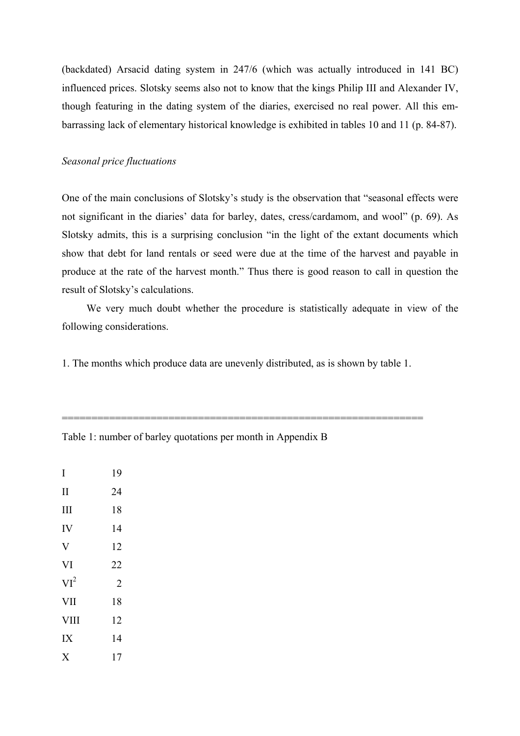(backdated) Arsacid dating system in 247/6 (which was actually introduced in 141 BC) influenced prices. Slotsky seems also not to know that the kings Philip III and Alexander IV, though featuring in the dating system of the diaries, exercised no real power. All this embarrassing lack of elementary historical knowledge is exhibited in tables 10 and 11 (p. 84-87).

## *Seasonal price fluctuations*

One of the main conclusions of Slotsky's study is the observation that "seasonal effects were not significant in the diaries' data for barley, dates, cress/cardamom, and wool" (p. 69). As Slotsky admits, this is a surprising conclusion "in the light of the extant documents which show that debt for land rentals or seed were due at the time of the harvest and payable in produce at the rate of the harvest month." Thus there is good reason to call in question the result of Slotsky's calculations.

 We very much doubt whether the procedure is statistically adequate in view of the following considerations.

1. The months which produce data are unevenly distributed, as is shown by table 1.

=============================================================

| I                       | 19             |
|-------------------------|----------------|
| $\mathbf{I}$            | 24             |
| III                     | 18             |
| IV                      | 14             |
| $\overline{\mathsf{V}}$ | 12             |
| VI                      | 22             |
| $VI^2$                  | $\overline{2}$ |
| VII                     | 18             |
| <b>VIII</b>             | 12             |
| IX                      | 14             |
| X                       | 17             |

Table 1: number of barley quotations per month in Appendix B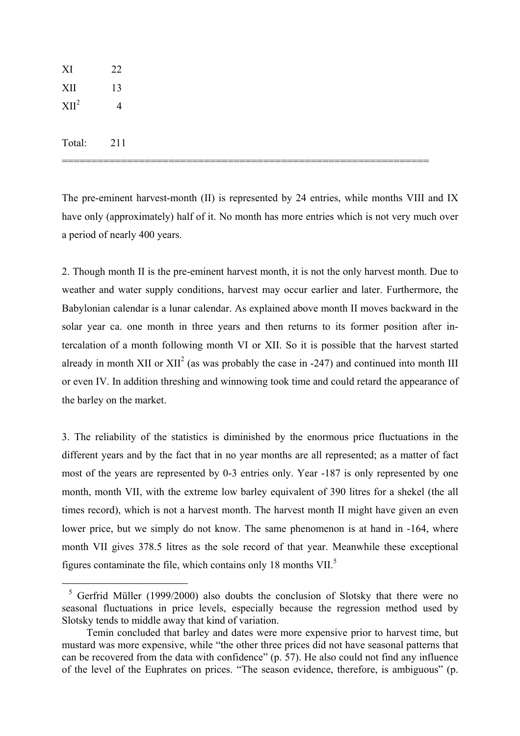<span id="page-6-0"></span>

The pre-eminent harvest-month (II) is represented by 24 entries, while months VIII and IX have only (approximately) half of it. No month has more entries which is not very much over a period of nearly 400 years.

2. Though month II is the pre-eminent harvest month, it is not the only harvest month. Due to weather and water supply conditions, harvest may occur earlier and later. Furthermore, the Babylonian calendar is a lunar calendar. As explained above month II moves backward in the solar year ca. one month in three years and then returns to its former position after intercalation of a month following month VI or XII. So it is possible that the harvest started already in month XII or  $XII^2$  (as was probably the case in -247) and continued into month III or even IV. In addition threshing and winnowing took time and could retard the appearance of the barley on the market.

3. The reliability of the statistics is diminished by the enormous price fluctuations in the different years and by the fact that in no year months are all represented; as a matter of fact most of the years are represented by 0-3 entries only. Year -187 is only represented by one month, month VII, with the extreme low barley equivalent of 390 litres for a shekel (the all times record), which is not a harvest month. The harvest month II might have given an even lower price, but we simply do not know. The same phenomenon is at hand in -164, where month VII gives 378.5 litres as the sole record of that year. Meanwhile these exceptional figures contaminate the file, which contains only 18 months VII.[5](#page-6-0)

i<br>Li

 $5$  Gerfrid Müller (1999/2000) also doubts the conclusion of Slotsky that there were no seasonal fluctuations in price levels, especially because the regression method used by Slotsky tends to middle away that kind of variation.

Temin concluded that barley and dates were more expensive prior to harvest time, but mustard was more expensive, while "the other three prices did not have seasonal patterns that can be recovered from the data with confidence" (p. 57). He also could not find any influence of the level of the Euphrates on prices. "The season evidence, therefore, is ambiguous" (p.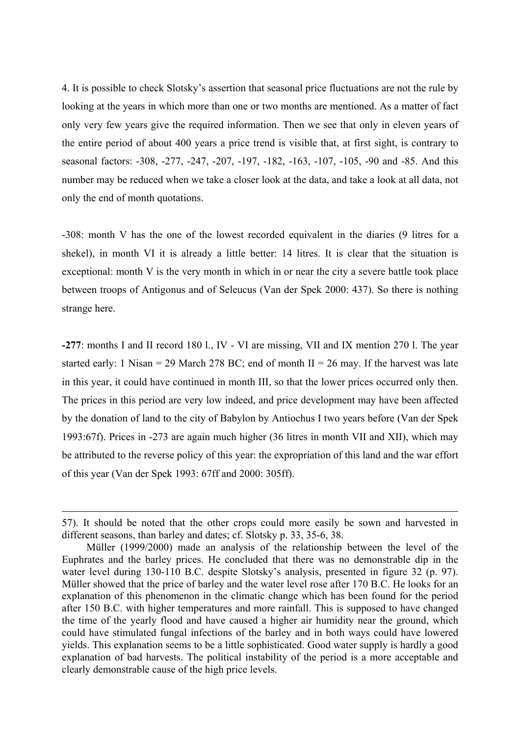4. It is possible to check Slotsky's assertion that seasonal price fluctuations are not the rule by looking at the years in which more than one or two months are mentioned. As a matter of fact only very few years give the required information. Then we see that only in eleven years of the entire period of about 400 years a price trend is visible that, at first sight, is contrary to seasonal factors: -308, -277, -247, -207, -197, -182, -163, -107, -105, -90 and -85. And this number may be reduced when we take a closer look at the data, and take a look at all data, not only the end of month quotations.

-308: month V has the one of the lowest recorded equivalent in the diaries (9 litres for a shekel), in month VI it is already a little better: 14 litres. It is clear that the situation is exceptional: month V is the very month in which in or near the city a severe battle took place between troops of Antigonus and of Seleucus (Van der Spek 2000: 437). So there is nothing strange here.

**-277**: months I and II record 180 l., IV - VI are missing, VII and IX mention 270 l. The year started early: 1 Nisan = 29 March 278 BC; end of month  $II = 26$  may. If the harvest was late in this year, it could have continued in month III, so that the lower prices occurred only then. The prices in this period are very low indeed, and price development may have been affected by the donation of land to the city of Babylon by Antiochus I two years before (Van der Spek 1993:67f). Prices in -273 are again much higher (36 litres in month VII and XII), which may be attributed to the reverse policy of this year: the expropriation of this land and the war effort of this year (Van der Spek 1993: 67ff and 2000: 305ff).

 $\equiv$ 

<sup>57).</sup> It should be noted that the other crops could more easily be sown and harvested in different seasons, than barley and dates; cf. Slotsky p. 33, 35-6, 38.

Müller (1999/2000) made an analysis of the relationship between the level of the Euphrates and the barley prices. He concluded that there was no demonstrable dip in the water level during 130-110 B.C. despite Slotsky's analysis, presented in figure 32 (p. 97). Müller showed that the price of barley and the water level rose after 170 B.C. He looks for an explanation of this phenomenon in the climatic change which has been found for the period after 150 B.C. with higher temperatures and more rainfall. This is supposed to have changed the time of the yearly flood and have caused a higher air humidity near the ground, which could have stimulated fungal infections of the barley and in both ways could have lowered yields. This explanation seems to be a little sophisticated. Good water supply is hardly a good explanation of bad harvests. The political instability of the period is a more acceptable and clearly demonstrable cause of the high price levels.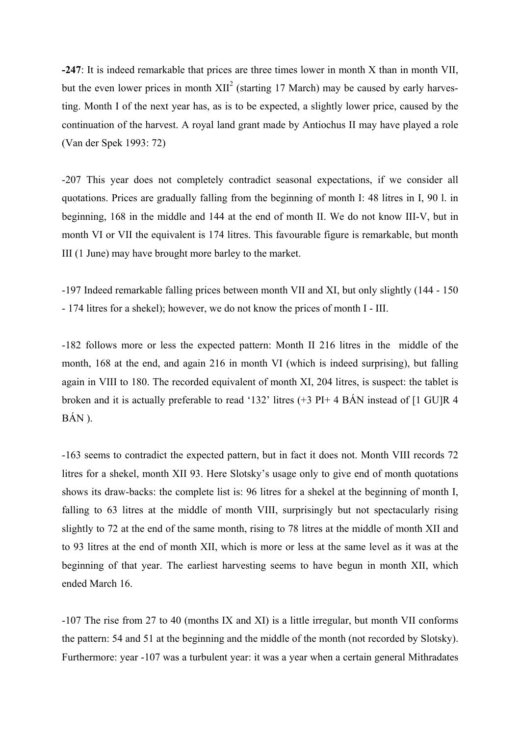**-247**: It is indeed remarkable that prices are three times lower in month X than in month VII, but the even lower prices in month  $XII<sup>2</sup>$  (starting 17 March) may be caused by early harvesting. Month I of the next year has, as is to be expected, a slightly lower price, caused by the continuation of the harvest. A royal land grant made by Antiochus II may have played a role (Van der Spek 1993: 72)

-207 This year does not completely contradict seasonal expectations, if we consider all quotations. Prices are gradually falling from the beginning of month I: 48 litres in I, 90 l. in beginning, 168 in the middle and 144 at the end of month II. We do not know III-V, but in month VI or VII the equivalent is 174 litres. This favourable figure is remarkable, but month III (1 June) may have brought more barley to the market.

-197 Indeed remarkable falling prices between month VII and XI, but only slightly (144 - 150 - 174 litres for a shekel); however, we do not know the prices of month I - III.

-182 follows more or less the expected pattern: Month II 216 litres in the middle of the month, 168 at the end, and again 216 in month VI (which is indeed surprising), but falling again in VIII to 180. The recorded equivalent of month XI, 204 litres, is suspect: the tablet is broken and it is actually preferable to read '132' litres (+3 PI+ 4 BÁN instead of [1 GU]R 4 BÁN ).

-163 seems to contradict the expected pattern, but in fact it does not. Month VIII records 72 litres for a shekel, month XII 93. Here Slotsky's usage only to give end of month quotations shows its draw-backs: the complete list is: 96 litres for a shekel at the beginning of month I, falling to 63 litres at the middle of month VIII, surprisingly but not spectacularly rising slightly to 72 at the end of the same month, rising to 78 litres at the middle of month XII and to 93 litres at the end of month XII, which is more or less at the same level as it was at the beginning of that year. The earliest harvesting seems to have begun in month XII, which ended March 16.

-107 The rise from 27 to 40 (months IX and XI) is a little irregular, but month VII conforms the pattern: 54 and 51 at the beginning and the middle of the month (not recorded by Slotsky). Furthermore: year -107 was a turbulent year: it was a year when a certain general Mithradates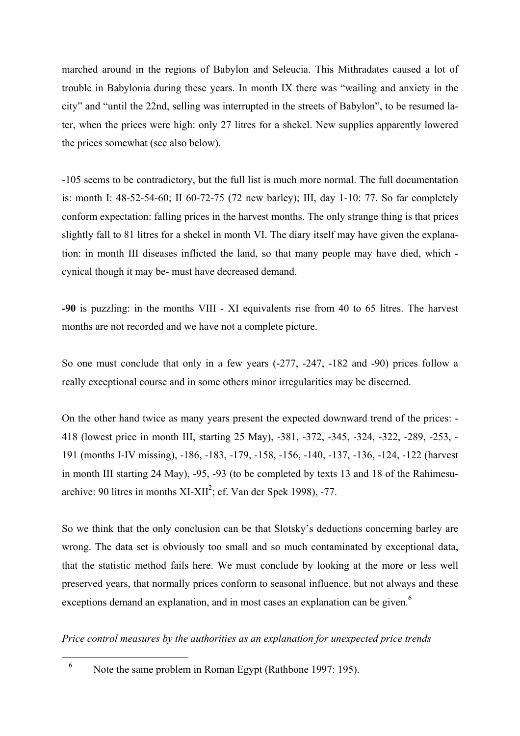marched around in the regions of Babylon and Seleucia. This Mithradates caused a lot of trouble in Babylonia during these years. In month IX there was "wailing and anxiety in the city" and "until the 22nd, selling was interrupted in the streets of Babylon", to be resumed later, when the prices were high: only 27 litres for a shekel. New supplies apparently lowered the prices somewhat (see also below).

-105 seems to be contradictory, but the full list is much more normal. The full documentation is: month I: 48-52-54-60; II 60-72-75 (72 new barley); III, day 1-10: 77. So far completely conform expectation: falling prices in the harvest months. The only strange thing is that prices slightly fall to 81 litres for a shekel in month VI. The diary itself may have given the explanation: in month III diseases inflicted the land, so that many people may have died, which cynical though it may be- must have decreased demand.

**-90** is puzzling: in the months VIII - XI equivalents rise from 40 to 65 litres. The harvest months are not recorded and we have not a complete picture.

So one must conclude that only in a few years (-277, -247, -182 and -90) prices follow a really exceptional course and in some others minor irregularities may be discerned.

On the other hand twice as many years present the expected downward trend of the prices: - 418 (lowest price in month III, starting 25 May), -381, -372, -345, -324, -322, -289, -253, - 191 (months I-IV missing), -186, -183, -179, -158, -156, -140, -137, -136, -124, -122 (harvest in month III starting 24 May), -95, -93 (to be completed by texts 13 and 18 of the Rahimesuarchive: 90 litres in months  $XI-XII^2$ ; cf. Van der Spek 1998), -77.

So we think that the only conclusion can be that Slotsky's deductions concerning barley are wrong. The data set is obviously too small and so much contaminated by exceptional data, that the statistic method fails here. We must conclude by looking at the more or less well preserved years, that normally prices conform to seasonal influence, but not always and these exceptions demand an explanation, and in most cases an explanation can be given.<sup>[6](#page-9-0)</sup>

*Price control measures by the authorities as an explanation for unexpected price trends*

i<br>Li

<span id="page-9-0"></span><sup>&</sup>lt;sup>6</sup> Note the same problem in Roman Egypt (Rathbone 1997: 195).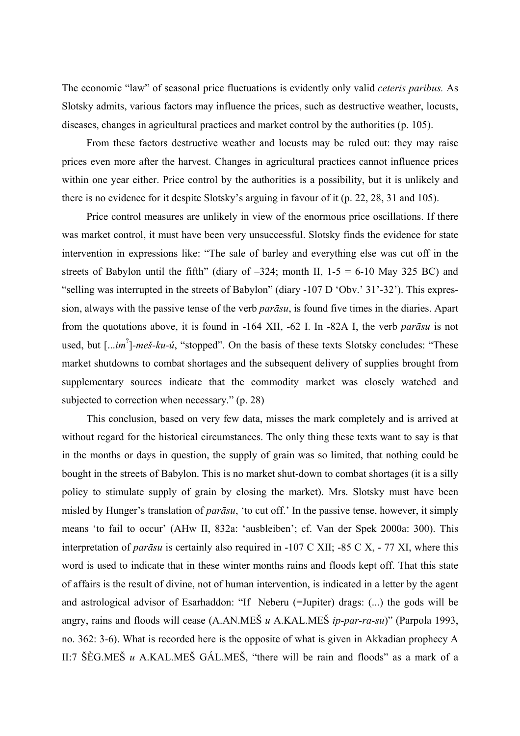The economic "law" of seasonal price fluctuations is evidently only valid *ceteris paribus.* As Slotsky admits, various factors may influence the prices, such as destructive weather, locusts, diseases, changes in agricultural practices and market control by the authorities (p. 105).

 From these factors destructive weather and locusts may be ruled out: they may raise prices even more after the harvest. Changes in agricultural practices cannot influence prices within one year either. Price control by the authorities is a possibility, but it is unlikely and there is no evidence for it despite Slotsky's arguing in favour of it (p. 22, 28, 31 and 105).

 Price control measures are unlikely in view of the enormous price oscillations. If there was market control, it must have been very unsuccessful. Slotsky finds the evidence for state intervention in expressions like: "The sale of barley and everything else was cut off in the streets of Babylon until the fifth" (diary of  $-324$ ; month II,  $1-5 = 6-10$  May 325 BC) and "selling was interrupted in the streets of Babylon" (diary -107 D 'Obv.' 31'-32'). This expression, always with the passive tense of the verb *parāsu*, is found five times in the diaries. Apart from the quotations above, it is found in -164 XII, -62 I. In -82A I, the verb *parāsu* is not used, but [...*im*? ]*-meš-ku-ú*, "stopped". On the basis of these texts Slotsky concludes: "These market shutdowns to combat shortages and the subsequent delivery of supplies brought from supplementary sources indicate that the commodity market was closely watched and subjected to correction when necessary." (p. 28)

 This conclusion, based on very few data, misses the mark completely and is arrived at without regard for the historical circumstances. The only thing these texts want to say is that in the months or days in question, the supply of grain was so limited, that nothing could be bought in the streets of Babylon. This is no market shut-down to combat shortages (it is a silly policy to stimulate supply of grain by closing the market). Mrs. Slotsky must have been misled by Hunger's translation of *parāsu*, 'to cut off.' In the passive tense, however, it simply means 'to fail to occur' (AHw II, 832a: 'ausbleiben'; cf. Van der Spek 2000a: 300). This interpretation of *parāsu* is certainly also required in -107 C XII; -85 C X, - 77 XI, where this word is used to indicate that in these winter months rains and floods kept off. That this state of affairs is the result of divine, not of human intervention, is indicated in a letter by the agent and astrological advisor of Esarhaddon: "If Neberu (=Jupiter) drags: (...) the gods will be angry, rains and floods will cease (A.AN.MEŠ *u* A.KAL.MEŠ *ip-par-ra-su*)" (Parpola 1993, no. 362: 3-6). What is recorded here is the opposite of what is given in Akkadian prophecy A II:7 ŠÈG.MEŠ *u* A.KAL.MEŠ GÁL.MEŠ, "there will be rain and floods" as a mark of a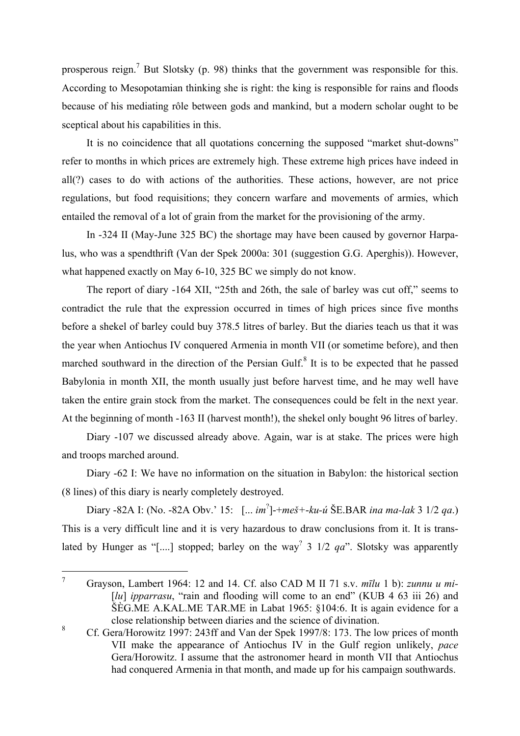prosperous reign.<sup>[7](#page-11-0)</sup> But Slotsky (p. 98) thinks that the government was responsible for this. According to Mesopotamian thinking she is right: the king is responsible for rains and floods because of his mediating rôle between gods and mankind, but a modern scholar ought to be sceptical about his capabilities in this.

 It is no coincidence that all quotations concerning the supposed "market shut-downs" refer to months in which prices are extremely high. These extreme high prices have indeed in all(?) cases to do with actions of the authorities. These actions, however, are not price regulations, but food requisitions; they concern warfare and movements of armies, which entailed the removal of a lot of grain from the market for the provisioning of the army.

 In -324 II (May-June 325 BC) the shortage may have been caused by governor Harpalus, who was a spendthrift (Van der Spek 2000a: 301 (suggestion G.G. Aperghis)). However, what happened exactly on May 6-10, 325 BC we simply do not know.

 The report of diary -164 XII, "25th and 26th, the sale of barley was cut off," seems to contradict the rule that the expression occurred in times of high prices since five months before a shekel of barley could buy 378.5 litres of barley. But the diaries teach us that it was the year when Antiochus IV conquered Armenia in month VII (or sometime before), and then marched southward in the direction of the Persian Gulf. $8$  It is to be expected that he passed Babylonia in month XII, the month usually just before harvest time, and he may well have taken the entire grain stock from the market. The consequences could be felt in the next year. At the beginning of month -163 II (harvest month!), the shekel only bought 96 litres of barley.

 Diary -107 we discussed already above. Again, war is at stake. The prices were high and troops marched around.

 Diary -62 I: We have no information on the situation in Babylon: the historical section (8 lines) of this diary is nearly completely destroyed.

 Diary -82A I: (No. -82A Obv.' 15: [... *im*? ]-+*meš+*-*ku-ú* ŠE.BAR *ina ma-lak* 3 1/2 *qa*.) This is a very difficult line and it is very hazardous to draw conclusions from it. It is translated by Hunger as "[....] stopped; barley on the way<sup>?</sup> 3 1/2  $qa$ ". Slotsky was apparently

<span id="page-11-0"></span> $\frac{1}{7}$  Grayson, Lambert 1964: 12 and 14. Cf. also CAD M II 71 s.v. *mīlu* 1 b): *zunnu u mi-* [*lu*] *ipparrasu*, "rain and flooding will come to an end" (KUB 4 63 iii 26) and ŠÈG.ME A.KAL.ME TAR.ME in Labat 1965: §104:6. It is again evidence for a close relationship between diaries and the science of divination.

<span id="page-11-1"></span><sup>8</sup> Cf. Gera/Horowitz 1997: 243ff and Van der Spek 1997/8: 173. The low prices of month VII make the appearance of Antiochus IV in the Gulf region unlikely, *pace* Gera/Horowitz. I assume that the astronomer heard in month VII that Antiochus had conquered Armenia in that month, and made up for his campaign southwards.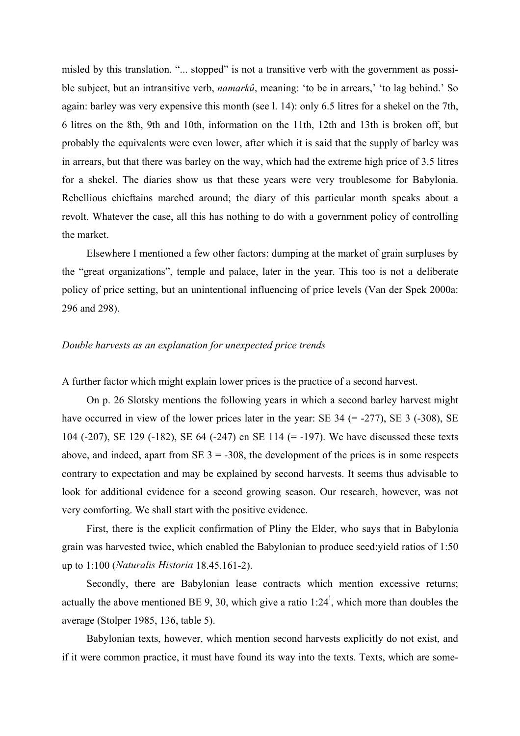misled by this translation. "... stopped" is not a transitive verb with the government as possible subject, but an intransitive verb, *namarkû*, meaning: 'to be in arrears,' 'to lag behind.' So again: barley was very expensive this month (see l. 14): only 6.5 litres for a shekel on the 7th, 6 litres on the 8th, 9th and 10th, information on the 11th, 12th and 13th is broken off, but probably the equivalents were even lower, after which it is said that the supply of barley was in arrears, but that there was barley on the way, which had the extreme high price of 3.5 litres for a shekel. The diaries show us that these years were very troublesome for Babylonia. Rebellious chieftains marched around; the diary of this particular month speaks about a revolt. Whatever the case, all this has nothing to do with a government policy of controlling the market.

 Elsewhere I mentioned a few other factors: dumping at the market of grain surpluses by the "great organizations", temple and palace, later in the year. This too is not a deliberate policy of price setting, but an unintentional influencing of price levels (Van der Spek 2000a: 296 and 298).

#### *Double harvests as an explanation for unexpected price trends*

A further factor which might explain lower prices is the practice of a second harvest.

 On p. 26 Slotsky mentions the following years in which a second barley harvest might have occurred in view of the lower prices later in the year: SE  $34$  (= -277), SE  $3$  (-308), SE 104 (-207), SE 129 (-182), SE 64 (-247) en SE 114 (= -197). We have discussed these texts above, and indeed, apart from  $SE$  3 = -308, the development of the prices is in some respects contrary to expectation and may be explained by second harvests. It seems thus advisable to look for additional evidence for a second growing season. Our research, however, was not very comforting. We shall start with the positive evidence.

 First, there is the explicit confirmation of Pliny the Elder, who says that in Babylonia grain was harvested twice, which enabled the Babylonian to produce seed:yield ratios of 1:50 up to 1:100 (*Naturalis Historia* 18.45.161-2).

 Secondly, there are Babylonian lease contracts which mention excessive returns; actually the above mentioned BE 9, 30, which give a ratio 1:24<sup> $\degree$ </sup>, which more than doubles the average (Stolper 1985, 136, table 5).

 Babylonian texts, however, which mention second harvests explicitly do not exist, and if it were common practice, it must have found its way into the texts. Texts, which are some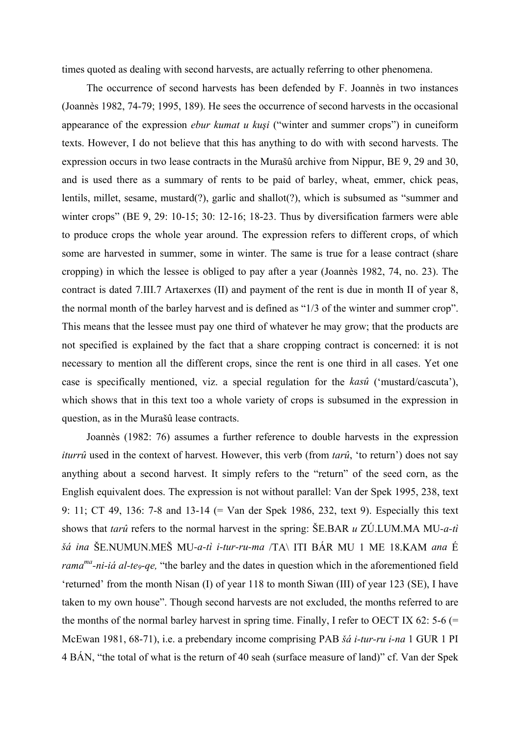times quoted as dealing with second harvests, are actually referring to other phenomena.

 The occurrence of second harvests has been defended by F. Joannès in two instances (Joannès 1982, 74-79; 1995, 189). He sees the occurrence of second harvests in the occasional appearance of the expression *ebur kumat u kuşi* ("winter and summer crops") in cuneiform texts. However, I do not believe that this has anything to do with with second harvests. The expression occurs in two lease contracts in the Murašû archive from Nippur, BE 9, 29 and 30, and is used there as a summary of rents to be paid of barley, wheat, emmer, chick peas, lentils, millet, sesame, mustard(?), garlic and shallot(?), which is subsumed as "summer and winter crops" (BE 9, 29: 10-15; 30: 12-16; 18-23. Thus by diversification farmers were able to produce crops the whole year around. The expression refers to different crops, of which some are harvested in summer, some in winter. The same is true for a lease contract (share cropping) in which the lessee is obliged to pay after a year (Joannès 1982, 74, no. 23). The contract is dated 7.III.7 Artaxerxes (II) and payment of the rent is due in month II of year 8, the normal month of the barley harvest and is defined as "1/3 of the winter and summer crop". This means that the lessee must pay one third of whatever he may grow; that the products are not specified is explained by the fact that a share cropping contract is concerned: it is not necessary to mention all the different crops, since the rent is one third in all cases. Yet one case is specifically mentioned, viz. a special regulation for the *kasû* ('mustard/cascuta'), which shows that in this text too a whole variety of crops is subsumed in the expression in question, as in the Murašû lease contracts.

 Joannès (1982: 76) assumes a further reference to double harvests in the expression *iturrû* used in the context of harvest. However, this verb (from *tarû*, 'to return') does not say anything about a second harvest. It simply refers to the "return" of the seed corn, as the English equivalent does. The expression is not without parallel: Van der Spek 1995, 238, text 9: 11; CT 49, 136: 7-8 and 13-14 (= Van der Spek 1986, 232, text 9). Especially this text shows that *tarû* refers to the normal harvest in the spring: ŠE.BAR *u* ZÚ.LUM.MA MU*-a-tì šá ina* ŠE.NUMUN.MEŠ MU*-a-tì i-tur-ru-ma* /TA\ ITI BÁR MU 1 ME 18.KAM *ana* É *rama*<sup>ma</sup>-ni-i*á al-te<sub>9</sub>-qe*, "the barley and the dates in question which in the aforementioned field 'returned' from the month Nisan (I) of year 118 to month Siwan (III) of year 123 (SE), I have taken to my own house". Though second harvests are not excluded, the months referred to are the months of the normal barley harvest in spring time. Finally, I refer to OECT IX 62: 5-6 (= McEwan 1981, 68-71), i.e. a prebendary income comprising PAB *šá i-tur-ru i-na* 1 GUR 1 PI 4 BÁN, "the total of what is the return of 40 seah (surface measure of land)" cf. Van der Spek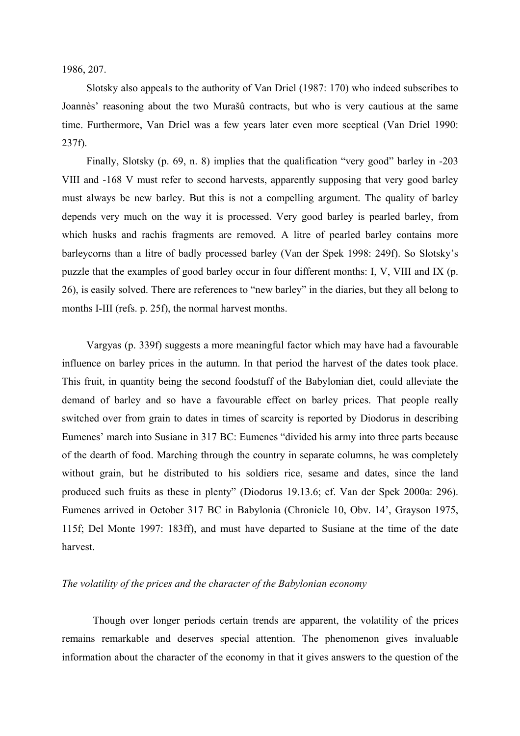1986, 207.

 Slotsky also appeals to the authority of Van Driel (1987: 170) who indeed subscribes to Joannès' reasoning about the two Murašû contracts, but who is very cautious at the same time. Furthermore, Van Driel was a few years later even more sceptical (Van Driel 1990: 237f).

 Finally, Slotsky (p. 69, n. 8) implies that the qualification "very good" barley in -203 VIII and -168 V must refer to second harvests, apparently supposing that very good barley must always be new barley. But this is not a compelling argument. The quality of barley depends very much on the way it is processed. Very good barley is pearled barley, from which husks and rachis fragments are removed. A litre of pearled barley contains more barleycorns than a litre of badly processed barley (Van der Spek 1998: 249f). So Slotsky's puzzle that the examples of good barley occur in four different months: I, V, VIII and IX (p. 26), is easily solved. There are references to "new barley" in the diaries, but they all belong to months I-III (refs. p. 25f), the normal harvest months.

 Vargyas (p. 339f) suggests a more meaningful factor which may have had a favourable influence on barley prices in the autumn. In that period the harvest of the dates took place. This fruit, in quantity being the second foodstuff of the Babylonian diet, could alleviate the demand of barley and so have a favourable effect on barley prices. That people really switched over from grain to dates in times of scarcity is reported by Diodorus in describing Eumenes' march into Susiane in 317 BC: Eumenes "divided his army into three parts because of the dearth of food. Marching through the country in separate columns, he was completely without grain, but he distributed to his soldiers rice, sesame and dates, since the land produced such fruits as these in plenty" (Diodorus 19.13.6; cf. Van der Spek 2000a: 296). Eumenes arrived in October 317 BC in Babylonia (Chronicle 10, Obv. 14', Grayson 1975, 115f; Del Monte 1997: 183ff), and must have departed to Susiane at the time of the date harvest.

#### *The volatility of the prices and the character of the Babylonian economy*

Though over longer periods certain trends are apparent, the volatility of the prices remains remarkable and deserves special attention. The phenomenon gives invaluable information about the character of the economy in that it gives answers to the question of the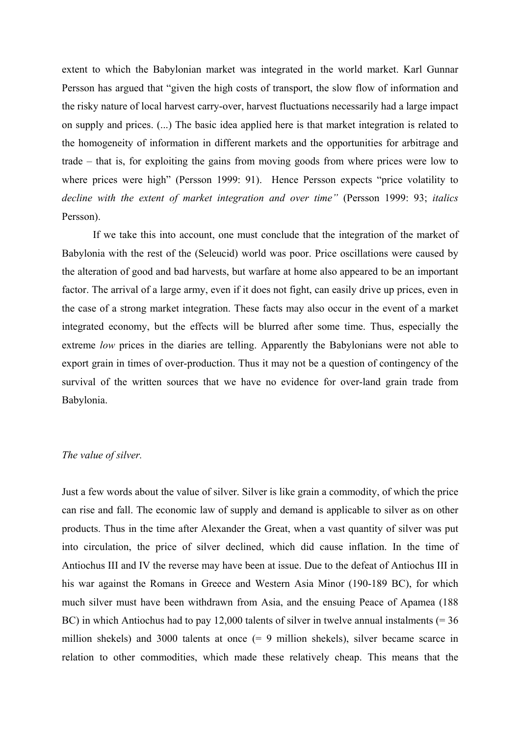extent to which the Babylonian market was integrated in the world market. Karl Gunnar Persson has argued that "given the high costs of transport, the slow flow of information and the risky nature of local harvest carry-over, harvest fluctuations necessarily had a large impact on supply and prices. (...) The basic idea applied here is that market integration is related to the homogeneity of information in different markets and the opportunities for arbitrage and trade – that is, for exploiting the gains from moving goods from where prices were low to where prices were high" (Persson 1999: 91). Hence Persson expects "price volatility to *decline with the extent of market integration and over time"* (Persson 1999: 93; *italics* Persson).

If we take this into account, one must conclude that the integration of the market of Babylonia with the rest of the (Seleucid) world was poor. Price oscillations were caused by the alteration of good and bad harvests, but warfare at home also appeared to be an important factor. The arrival of a large army, even if it does not fight, can easily drive up prices, even in the case of a strong market integration. These facts may also occur in the event of a market integrated economy, but the effects will be blurred after some time. Thus, especially the extreme *low* prices in the diaries are telling. Apparently the Babylonians were not able to export grain in times of over-production. Thus it may not be a question of contingency of the survival of the written sources that we have no evidence for over-land grain trade from Babylonia.

#### *The value of silver.*

Just a few words about the value of silver. Silver is like grain a commodity, of which the price can rise and fall. The economic law of supply and demand is applicable to silver as on other products. Thus in the time after Alexander the Great, when a vast quantity of silver was put into circulation, the price of silver declined, which did cause inflation. In the time of Antiochus III and IV the reverse may have been at issue. Due to the defeat of Antiochus III in his war against the Romans in Greece and Western Asia Minor (190-189 BC), for which much silver must have been withdrawn from Asia, and the ensuing Peace of Apamea (188 BC) in which Antiochus had to pay 12,000 talents of silver in twelve annual instalments (= 36 million shekels) and 3000 talents at once (= 9 million shekels), silver became scarce in relation to other commodities, which made these relatively cheap. This means that the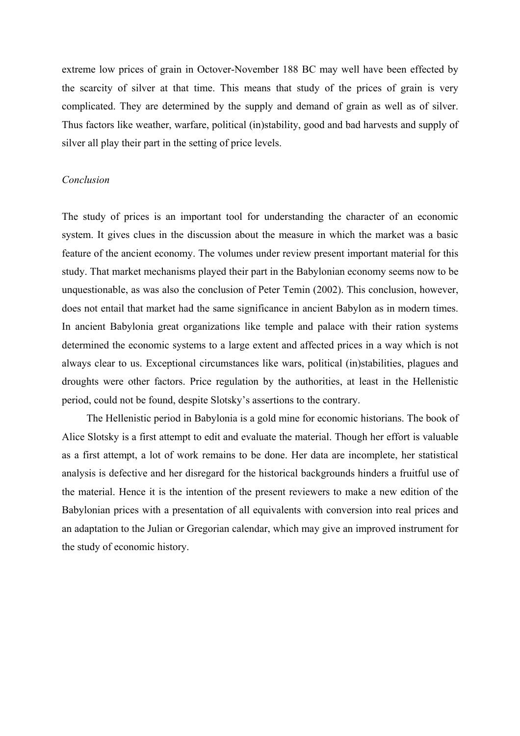extreme low prices of grain in Octover-November 188 BC may well have been effected by the scarcity of silver at that time. This means that study of the prices of grain is very complicated. They are determined by the supply and demand of grain as well as of silver. Thus factors like weather, warfare, political (in)stability, good and bad harvests and supply of silver all play their part in the setting of price levels.

## *Conclusion*

The study of prices is an important tool for understanding the character of an economic system. It gives clues in the discussion about the measure in which the market was a basic feature of the ancient economy. The volumes under review present important material for this study. That market mechanisms played their part in the Babylonian economy seems now to be unquestionable, as was also the conclusion of Peter Temin (2002). This conclusion, however, does not entail that market had the same significance in ancient Babylon as in modern times. In ancient Babylonia great organizations like temple and palace with their ration systems determined the economic systems to a large extent and affected prices in a way which is not always clear to us. Exceptional circumstances like wars, political (in)stabilities, plagues and droughts were other factors. Price regulation by the authorities, at least in the Hellenistic period, could not be found, despite Slotsky's assertions to the contrary.

 The Hellenistic period in Babylonia is a gold mine for economic historians. The book of Alice Slotsky is a first attempt to edit and evaluate the material. Though her effort is valuable as a first attempt, a lot of work remains to be done. Her data are incomplete, her statistical analysis is defective and her disregard for the historical backgrounds hinders a fruitful use of the material. Hence it is the intention of the present reviewers to make a new edition of the Babylonian prices with a presentation of all equivalents with conversion into real prices and an adaptation to the Julian or Gregorian calendar, which may give an improved instrument for the study of economic history.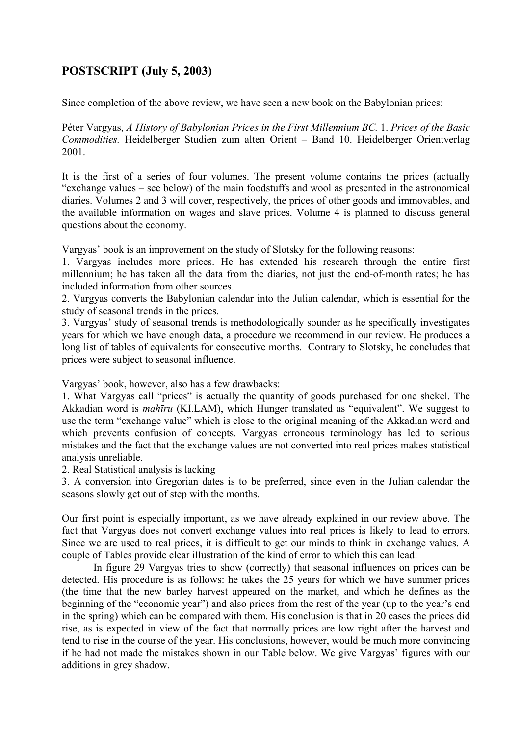# **POSTSCRIPT (July 5, 2003)**

Since completion of the above review, we have seen a new book on the Babylonian prices:

Péter Vargyas, *A History of Babylonian Prices in the First Millennium BC.* 1. *Prices of the Basic Commodities.* Heidelberger Studien zum alten Orient – Band 10. Heidelberger Orientverlag 2001.

It is the first of a series of four volumes. The present volume contains the prices (actually "exchange values – see below) of the main foodstuffs and wool as presented in the astronomical diaries. Volumes 2 and 3 will cover, respectively, the prices of other goods and immovables, and the available information on wages and slave prices. Volume 4 is planned to discuss general questions about the economy.

Vargyas' book is an improvement on the study of Slotsky for the following reasons:

1. Vargyas includes more prices. He has extended his research through the entire first millennium; he has taken all the data from the diaries, not just the end-of-month rates; he has included information from other sources.

2. Vargyas converts the Babylonian calendar into the Julian calendar, which is essential for the study of seasonal trends in the prices.

3. Vargyas' study of seasonal trends is methodologically sounder as he specifically investigates years for which we have enough data, a procedure we recommend in our review. He produces a long list of tables of equivalents for consecutive months. Contrary to Slotsky, he concludes that prices were subject to seasonal influence.

Vargyas' book, however, also has a few drawbacks:

1. What Vargyas call "prices" is actually the quantity of goods purchased for one shekel. The Akkadian word is *mahīru* (KI.LAM), which Hunger translated as "equivalent". We suggest to use the term "exchange value" which is close to the original meaning of the Akkadian word and which prevents confusion of concepts. Vargyas erroneous terminology has led to serious mistakes and the fact that the exchange values are not converted into real prices makes statistical analysis unreliable.

2. Real Statistical analysis is lacking

3. A conversion into Gregorian dates is to be preferred, since even in the Julian calendar the seasons slowly get out of step with the months.

Our first point is especially important, as we have already explained in our review above. The fact that Vargyas does not convert exchange values into real prices is likely to lead to errors. Since we are used to real prices, it is difficult to get our minds to think in exchange values. A couple of Tables provide clear illustration of the kind of error to which this can lead:

 In figure 29 Vargyas tries to show (correctly) that seasonal influences on prices can be detected. His procedure is as follows: he takes the 25 years for which we have summer prices (the time that the new barley harvest appeared on the market, and which he defines as the beginning of the "economic year") and also prices from the rest of the year (up to the year's end in the spring) which can be compared with them. His conclusion is that in 20 cases the prices did rise, as is expected in view of the fact that normally prices are low right after the harvest and tend to rise in the course of the year. His conclusions, however, would be much more convincing if he had not made the mistakes shown in our Table below. We give Vargyas' figures with our additions in grey shadow.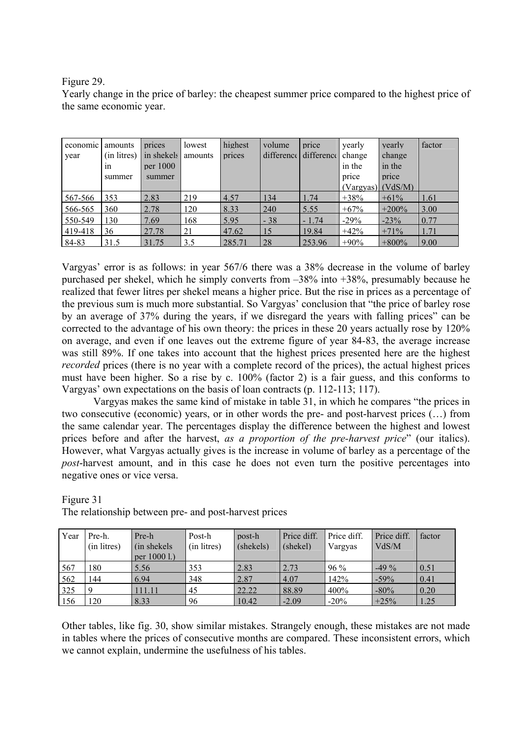## Figure 29.

Yearly change in the price of barley: the cheapest summer price compared to the highest price of the same economic year.

| economic | amounts     | prices     | lowest  | highest | volume     | price      | yearly                | yearly   | factor |
|----------|-------------|------------|---------|---------|------------|------------|-----------------------|----------|--------|
| year     | (in litres) | in shekels | amounts | prices  | difference | difference | change                | change   |        |
|          | 1n          | per 1000   |         |         |            |            | in the                | in the   |        |
|          | summer      | summer     |         |         |            |            | price                 | price    |        |
|          |             |            |         |         |            |            | $(Vargyas)$ $(VdS/M)$ |          |        |
| 567-566  | 353         | 2.83       | 219     | 4.57    | 134        | 1.74       | $+38%$                | $+61%$   | 1.61   |
| 566-565  | 360         | 2.78       | 120     | 8.33    | 240        | 5.55       | $+67%$                | $+200%$  | 3.00   |
| 550-549  | 130         | 7.69       | 168     | 5.95    | $-38$      | $-1.74$    | $-29%$                | $-23%$   | 0.77   |
| 419-418  | 36          | 27.78      | 21      | 47.62   | 15         | 19.84      | $+42%$                | $+71%$   | 1.71   |
| 84-83    | 31.5        | 31.75      | 3.5     | 285.71  | 28         | 253.96     | $+90\%$               | $+800\%$ | 9.00   |

Vargyas' error is as follows: in year 567/6 there was a 38% decrease in the volume of barley purchased per shekel, which he simply converts from –38% into +38%, presumably because he realized that fewer litres per shekel means a higher price. But the rise in prices as a percentage of the previous sum is much more substantial. So Vargyas' conclusion that "the price of barley rose by an average of 37% during the years, if we disregard the years with falling prices" can be corrected to the advantage of his own theory: the prices in these 20 years actually rose by 120% on average, and even if one leaves out the extreme figure of year 84-83, the average increase was still 89%. If one takes into account that the highest prices presented here are the highest *recorded* prices (there is no year with a complete record of the prices), the actual highest prices must have been higher. So a rise by c. 100% (factor 2) is a fair guess, and this conforms to Vargyas' own expectations on the basis of loan contracts (p. 112-113; 117).

Vargyas makes the same kind of mistake in table 31, in which he compares "the prices in two consecutive (economic) years, or in other words the pre- and post-harvest prices (…) from the same calendar year. The percentages display the difference between the highest and lowest prices before and after the harvest, *as a proportion of the pre-harvest price*" (our italics). However, what Vargyas actually gives is the increase in volume of barley as a percentage of the *post*-harvest amount, and in this case he does not even turn the positive percentages into negative ones or vice versa.

| Year | Pre-h.<br>(in litres) | Pre-h<br>(in shekels)<br>per 1000 l.) | Post-h<br>(in litres) | post-h<br>(shekels) | Price diff.<br>(shekel) | Price diff.<br>Vargyas | Price diff.<br>VdS/M | factor |
|------|-----------------------|---------------------------------------|-----------------------|---------------------|-------------------------|------------------------|----------------------|--------|
| 567  | 180                   | 5.56                                  | 353                   | 2.83                | 2.73                    | $96\%$                 | $-49\%$              | 0.51   |
| 562  | 144                   | 6.94                                  | 348                   | 2.87                | 4.07                    | 142%                   | $-59\%$              | 0.41   |
| 325  |                       | ! 1 1 . 1 1                           | 45                    | 22.22               | 88.89                   | 400%                   | $-80%$               | 0.20   |
| 156  | 120                   | 8.33                                  | 96                    | 10.42               | $-2.09$                 | $-20%$                 | $+25%$               | 1.25   |

Figure 31 The relationship between pre- and post-harvest prices

Other tables, like fig. 30, show similar mistakes. Strangely enough, these mistakes are not made in tables where the prices of consecutive months are compared. These inconsistent errors, which we cannot explain, undermine the usefulness of his tables.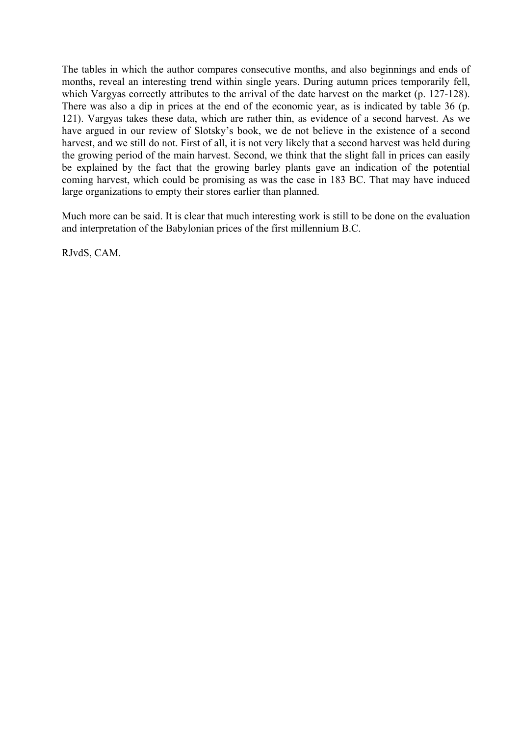The tables in which the author compares consecutive months, and also beginnings and ends of months, reveal an interesting trend within single years. During autumn prices temporarily fell, which Vargyas correctly attributes to the arrival of the date harvest on the market (p. 127-128). There was also a dip in prices at the end of the economic year, as is indicated by table 36 (p. 121). Vargyas takes these data, which are rather thin, as evidence of a second harvest. As we have argued in our review of Slotsky's book, we de not believe in the existence of a second harvest, and we still do not. First of all, it is not very likely that a second harvest was held during the growing period of the main harvest. Second, we think that the slight fall in prices can easily be explained by the fact that the growing barley plants gave an indication of the potential coming harvest, which could be promising as was the case in 183 BC. That may have induced large organizations to empty their stores earlier than planned.

Much more can be said. It is clear that much interesting work is still to be done on the evaluation and interpretation of the Babylonian prices of the first millennium B.C.

RJvdS, CAM.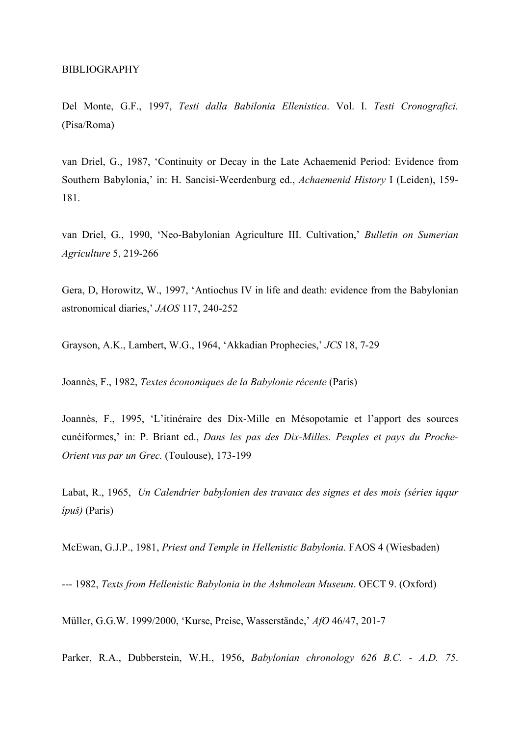Del Monte, G.F., 1997, *Testi dalla Babilonia Ellenistica*. Vol. I. *Testi Cronografici.* (Pisa/Roma)

van Driel, G., 1987, 'Continuity or Decay in the Late Achaemenid Period: Evidence from Southern Babylonia,' in: H. Sancisi-Weerdenburg ed., *Achaemenid History* I (Leiden), 159- 181.

van Driel, G., 1990, 'Neo-Babylonian Agriculture III. Cultivation,' *Bulletin on Sumerian Agriculture* 5, 219-266

Gera, D, Horowitz, W., 1997, 'Antiochus IV in life and death: evidence from the Babylonian astronomical diaries,' *JAOS* 117, 240-252

Grayson, A.K., Lambert, W.G., 1964, 'Akkadian Prophecies,' *JCS* 18, 7-29

Joannès, F., 1982, *Textes économiques de la Babylonie récente* (Paris)

Joannès, F., 1995, 'L'itinéraire des Dix-Mille en Mésopotamie et l'apport des sources cunéiformes,' in: P. Briant ed., *Dans les pas des Dix-Milles. Peuples et pays du Proche-Orient vus par un Grec.* (Toulouse), 173-199

Labat, R., 1965, *Un Calendrier babylonien des travaux des signes et des mois (séries iqqur îpuš)* (Paris)

McEwan, G.J.P., 1981, *Priest and Temple in Hellenistic Babylonia*. FAOS 4 (Wiesbaden)

--- 1982, *Texts from Hellenistic Babylonia in the Ashmolean Museum*. OECT 9. (Oxford)

Müller, G.G.W. 1999/2000, 'Kurse, Preise, Wasserstände,' *AfO* 46/47, 201-7

Parker, R.A., Dubberstein, W.H., 1956, *Babylonian chronology 626 B.C. - A.D. 75*.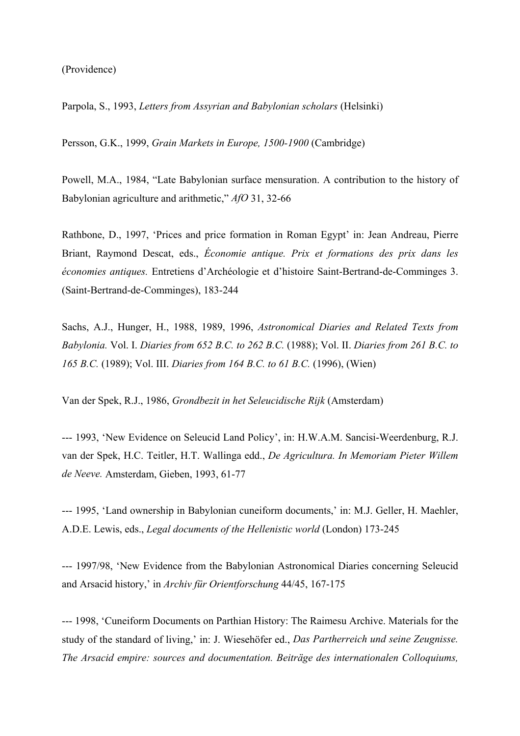(Providence)

Parpola, S., 1993, *Letters from Assyrian and Babylonian scholars* (Helsinki)

Persson, G.K., 1999, *Grain Markets in Europe, 1500-1900* (Cambridge)

Powell, M.A., 1984, "Late Babylonian surface mensuration. A contribution to the history of Babylonian agriculture and arithmetic," *AfO* 31, 32-66

Rathbone, D., 1997, 'Prices and price formation in Roman Egypt' in: Jean Andreau, Pierre Briant, Raymond Descat, eds., *Économie antique. Prix et formations des prix dans les économies antiques.* Entretiens d'Archéologie et d'histoire Saint-Bertrand-de-Comminges 3. (Saint-Bertrand-de-Comminges), 183-244

Sachs, A.J., Hunger, H., 1988, 1989, 1996, *Astronomical Diaries and Related Texts from Babylonia.* Vol. I. *Diaries from 652 B.C. to 262 B.C.* (1988); Vol. II. *Diaries from 261 B.C. to 165 B.C.* (1989); Vol. III. *Diaries from 164 B.C. to 61 B.C.* (1996), (Wien)

Van der Spek, R.J., 1986, *Grondbezit in het Seleucidische Rijk* (Amsterdam)

--- 1993, 'New Evidence on Seleucid Land Policy', in: H.W.A.M. Sancisi-Weerdenburg, R.J. van der Spek, H.C. Teitler, H.T. Wallinga edd., *De Agricultura. In Memoriam Pieter Willem de Neeve.* Amsterdam, Gieben, 1993, 61-77

--- 1995, 'Land ownership in Babylonian cuneiform documents,' in: M.J. Geller, H. Maehler, A.D.E. Lewis, eds., *Legal documents of the Hellenistic world* (London) 173-245

--- 1997/98, 'New Evidence from the Babylonian Astronomical Diaries concerning Seleucid and Arsacid history,' in *Archiv für Orientforschung* 44/45, 167-175

--- 1998, 'Cuneiform Documents on Parthian History: The Raimesu Archive. Materials for the study of the standard of living,' in: J. Wiesehöfer ed., *Das Partherreich und seine Zeugnisse. The Arsacid empire: sources and documentation. Beiträge des internationalen Colloquiums,*